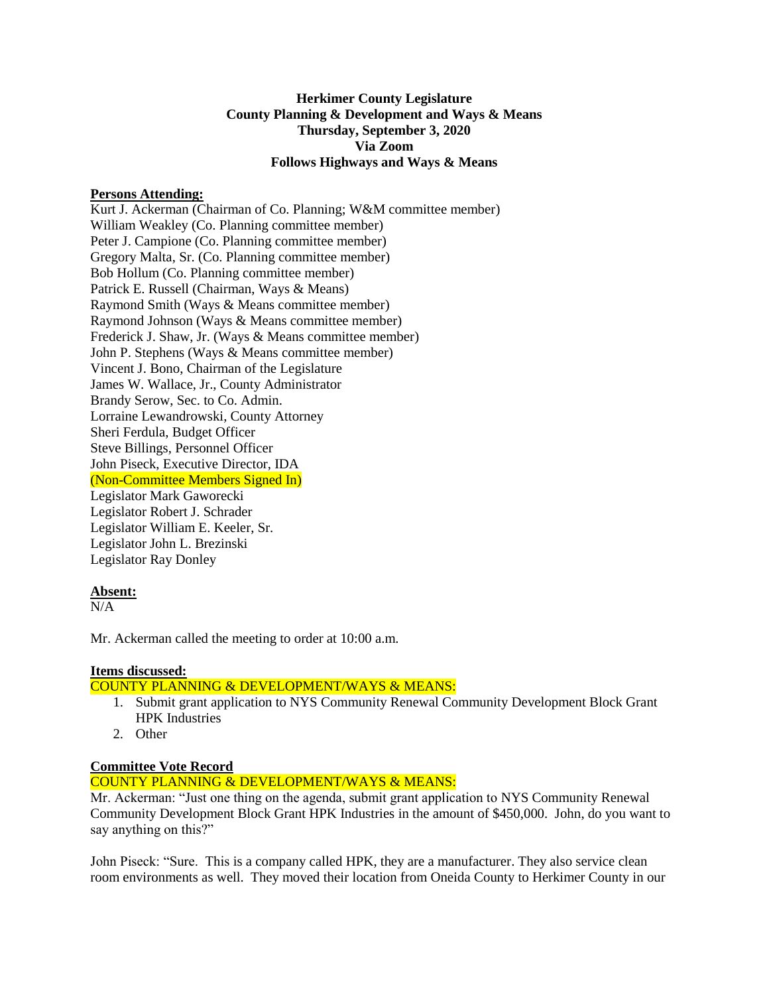### **Herkimer County Legislature County Planning & Development and Ways & Means Thursday, September 3, 2020 Via Zoom Follows Highways and Ways & Means**

#### **Persons Attending:**

Kurt J. Ackerman (Chairman of Co. Planning; W&M committee member) William Weakley (Co. Planning committee member) Peter J. Campione (Co. Planning committee member) Gregory Malta, Sr. (Co. Planning committee member) Bob Hollum (Co. Planning committee member) Patrick E. Russell (Chairman, Ways & Means) Raymond Smith (Ways & Means committee member) Raymond Johnson (Ways & Means committee member) Frederick J. Shaw, Jr. (Ways & Means committee member) John P. Stephens (Ways & Means committee member) Vincent J. Bono, Chairman of the Legislature James W. Wallace, Jr., County Administrator Brandy Serow, Sec. to Co. Admin. Lorraine Lewandrowski, County Attorney Sheri Ferdula, Budget Officer Steve Billings, Personnel Officer John Piseck, Executive Director, IDA (Non-Committee Members Signed In) Legislator Mark Gaworecki Legislator Robert J. Schrader Legislator William E. Keeler, Sr. Legislator John L. Brezinski Legislator Ray Donley

#### **Absent:**

 $N/A$ 

Mr. Ackerman called the meeting to order at 10:00 a.m.

# **Items discussed:**

# COUNTY PLANNING & DEVELOPMENT/WAYS & MEANS:

- 1. Submit grant application to NYS Community Renewal Community Development Block Grant HPK Industries
- 2. Other

# **Committee Vote Record**

### COUNTY PLANNING & DEVELOPMENT/WAYS & MEANS:

Mr. Ackerman: "Just one thing on the agenda, submit grant application to NYS Community Renewal Community Development Block Grant HPK Industries in the amount of \$450,000. John, do you want to say anything on this?"

John Piseck: "Sure. This is a company called HPK, they are a manufacturer. They also service clean room environments as well. They moved their location from Oneida County to Herkimer County in our